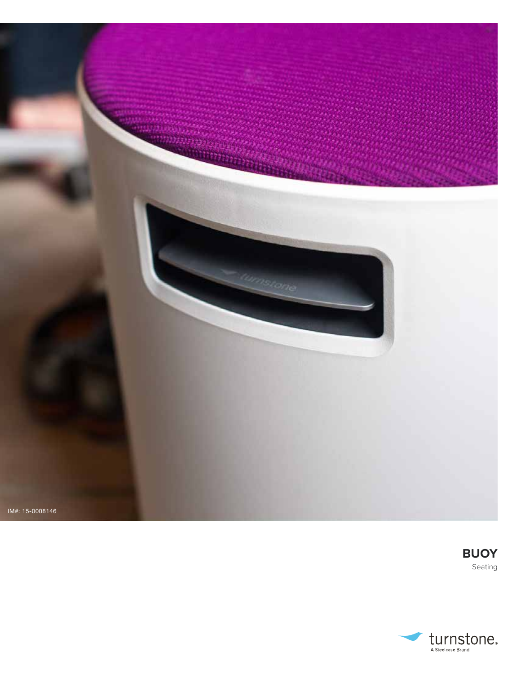



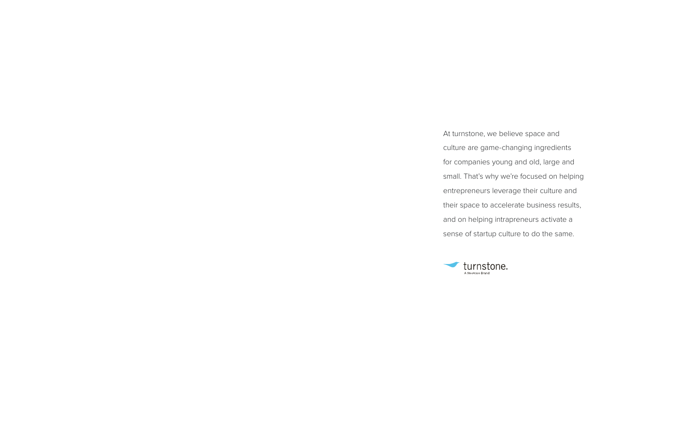

At turnstone, we believe space and culture are game-changing ingredients for companies young and old, large and small. That's why we're focused on helping entrepreneurs leverage their culture and their space to accelerate business results, and on helping intrapreneurs activate a sense of startup culture to do the same.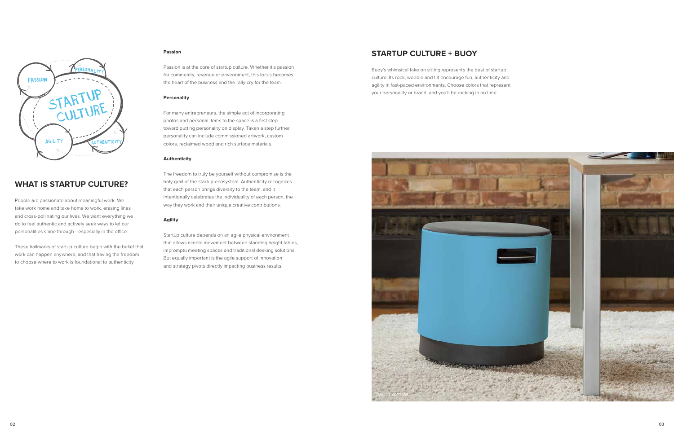

# **WHAT IS STARTUP CULTURE?**

People are passionate about meaningful work. We take work home and take home to work, erasing lines and cross-pollinating our lives. We want everything we do to feel authentic and actively seek ways to let our personalities shine through—especially in the office.

These hallmarks of startup culture begin with the belief that work can happen anywhere, and that having the freedom to choose where to work is foundational to authenticity.

#### **Passion**

Passion is at the core of startup culture. Whether it's passion for community, revenue or environment, this focus becomes the heart of the business and the rally cry for the team.

#### **Personality**

For many entrepreneurs, the simple act of incorporating photos and personal items to the space is a first step toward putting personality on display. Taken a step further, personality can include commissioned artwork, custom colors, reclaimed wood and rich surface materials.

#### **Authenticity**

The freedom to truly be yourself without compromise is the holy grail of the startup ecosystem. Authenticity recognizes that each person brings diversity to the team, and it intentionally celebrates the individuality of each person, the way they work and their unique creative contributions.

### **Agility**

Startup culture depends on an agile physical environment that allows nimble movement between standing height tables, impromptu meeting spaces and traditional desking solutions. But equally important is the agile support of innovation and strategy pivots directly impacting business results.

### **STARTUP CULTURE + BUOY**

Buoy's whimsical take on sitting represents the best of startup culture. Its rock, wobble and tilt encourage fun, authenticity and agility in fast-paced environments. Choose colors that represent your personality or brand, and you'll be rocking in no time.

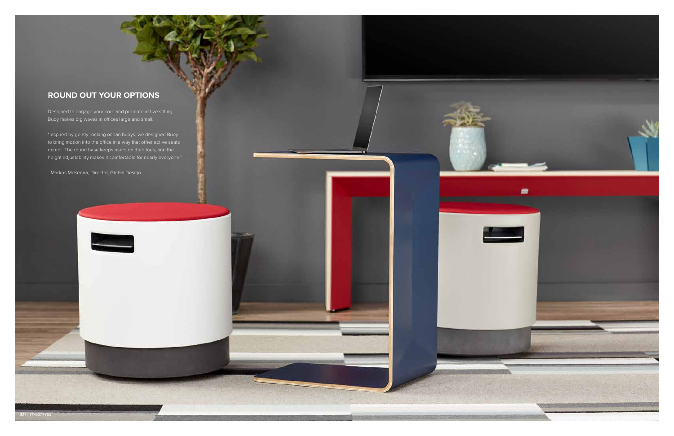# **ROUND OUT YOUR OPTIONS**

Designed to engage your core and promote active sitting, Buoy makes big waves in offices large and small.

"Inspired by gently rocking ocean buoys, we designed Buoy to bring motion into the office in a way that other active seats do not. The round base keeps users on their toes, and the height adjustability makes it comfortable for nearly everyone."

- Markus McKenna, Director, Global Design

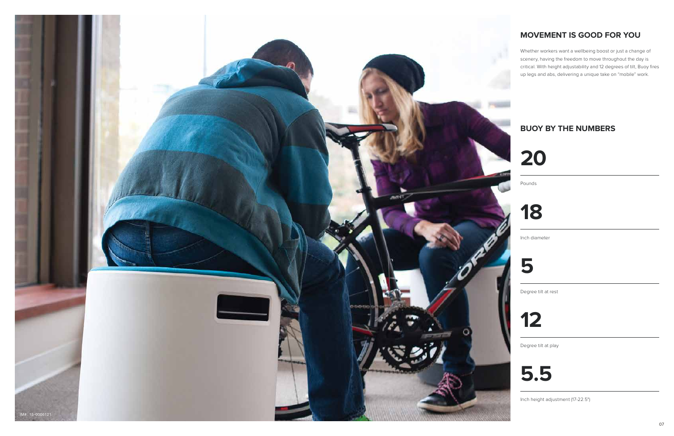# **MOVEMENT IS GOOD FOR YOU**

Whether workers want a wellbeing boost or just a change of scenery, having the freedom to move throughout the day is critical. With height adjustability and 12 degrees of tilt, Buoy fires up legs and abs, delivering a unique take on "mobile" work.





**20**

Pounds



Inch diameter



Degree tilt at rest



Degree tilt at play



Inch height adjustment (17-22.5")

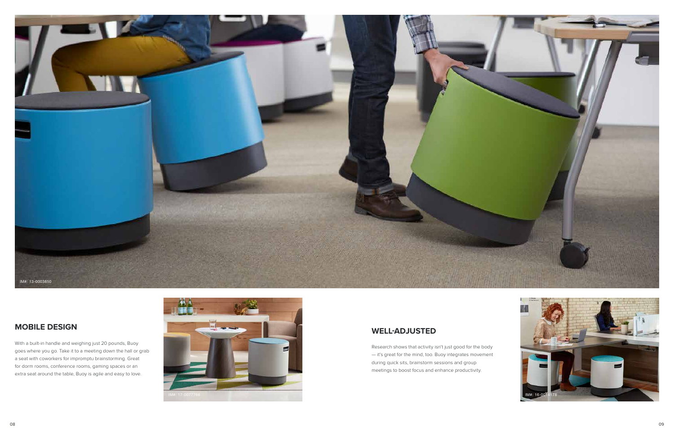## **MOBILE DESIGN**

With a built-in handle and weighing just 20 pounds, Buoy goes where you go. Take it to a meeting down the hall or grab a seat with coworkers for impromptu brainstorming. Great for dorm rooms, conference rooms, gaming spaces or an extra seat around the table, Buoy is agile and easy to love.

# **WELL-ADJUSTED**

Research shows that activity isn't just good for the body — it's great for the mind, too. Buoy integrates movement during quick sits, brainstorm sessions and group meetings to boost focus and enhance productivity.





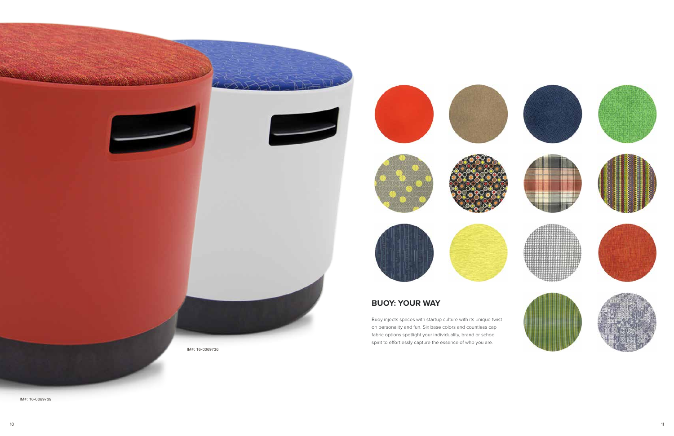**BUOY: YOUR WAY**

Buoy injects spaces with startup culture with its unique twist on personality and fun. Six base colors and countless cap fabric options spotlight your individuality, brand or school

spirit to effortlessly capture the essence of who you are.















IM#: 16-0069739

IM#: 16-0069736







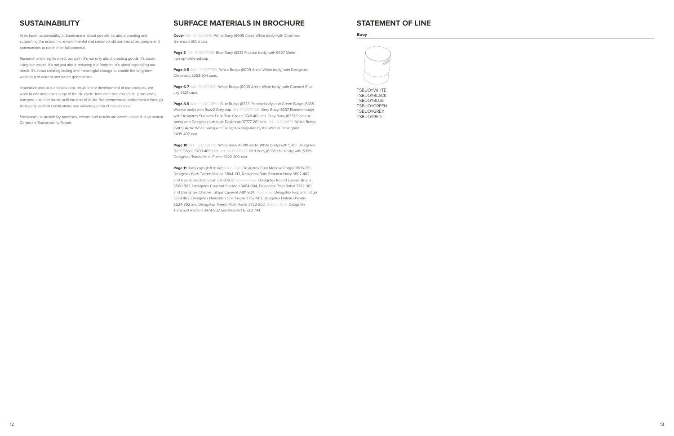### **SUSTAINABILITY**

At its heart, sustainability at Steelcase is about people. It's about creating and supporting the economic, environmental and social conditions that allow people and communities to reach their full potential.

Innovative products and solutions result. In the development of our products, we work to consider each stage of the life cycle: from materials extraction, production, transport, use and reuse, until the end of its life. We demonstrate performance through third-party verified certifications and voluntary product declarations.

Research and insights direct our path. It's not only about creating goods, it's about living our values. It's not just about reducing our footprint, it's about expanding our reach. It's about creating lasting and meaningful change to enable the long-term wellbeing of current and future generations.

**Page 3** IM#: 17-0077995: Blue Buoy (6333 Picasso body) with 6527 Merle non-upholstered cap.

**Page 6-7** IM#: 15-0006121: White Buoys (6009 Arctic White body) with Connect Blue Jay 5S21 caps.

Page 8-9 IM#: 13-0003850: Blue Buoys (6333 Picasso body) and Green Buoys (6335 Wasabi body) with Buzz2 Grey cap. IM# 17-0077766: Grey Buoy (6337 Element body) with Designtex Starburst Dark Blue Green 3748-401 cap. Grey Buoy (6337 Element body) with Designtex Lattitude Daybreak 37777-201 cap. IM#: 16-0014178: White Buoys (6009 Arctic White body) with Designtex Beguiled by the Wild Hummingbird 3495-402 cap.

Steelcase's sustainability promises, actions and results are communicated in an annual Corporate Sustainability Report.

### **SURFACE MATERIALS IN BROCHURE**

Page 10 IM#: 16-0069739: White Buoy (6009 Arctic White body) with 59DF Designtex Draft Cobalt 3703-403 cap. IM#: 16-0069736: Red buoy (6338 chili body) with 5999 Designtex Tweed Multi Flame 3722-302 cap.

**Cover** IM#: 15-0008146: White Buoy (6009 Arctic White body) with Chainmail Geranium 5556 cap.

**Page 4-5** IM#: 17-0077755: White Buoys (6009 Arctic White body) with Designtex Chromatic 3253-304 caps.

Page 11 Buoy caps (left to right) Top Row: Designtex Bute Melrose Poppy 3805-701, Designtex Bute Tweed Mouse 3804-103, Designtex Bute Braemar Navy 3802-402 and Designtex Draft Lawn 3703-502. Second Row: Designtex Round Leaves Brunia 3560-802, Designtex Concept Blacktop 3464-904, Designtex Plaid Robin 3782-301 and Designtex Checker Stripe Carnival 3481-904. Third Row: Designtex Pinpoint Indigo 3778-402, Designtex Hemstitch Chartreuse 3752-501, Designtex Holmes Pewter 3624-802 and Designtex Tweed Multi Flame 3722-302. Bottom Row: Designtex Transport Rainfort 3474-902 and Kvardart Grid 2 744.



**TSBUOYWHITE** TSBUOYBLACK TSBUOYBLUE TSBUOYGREEN TSBUOYGREY TSBUOYRED

13<br>12

### **STATEMENT OF LINE**

#### **Buoy**